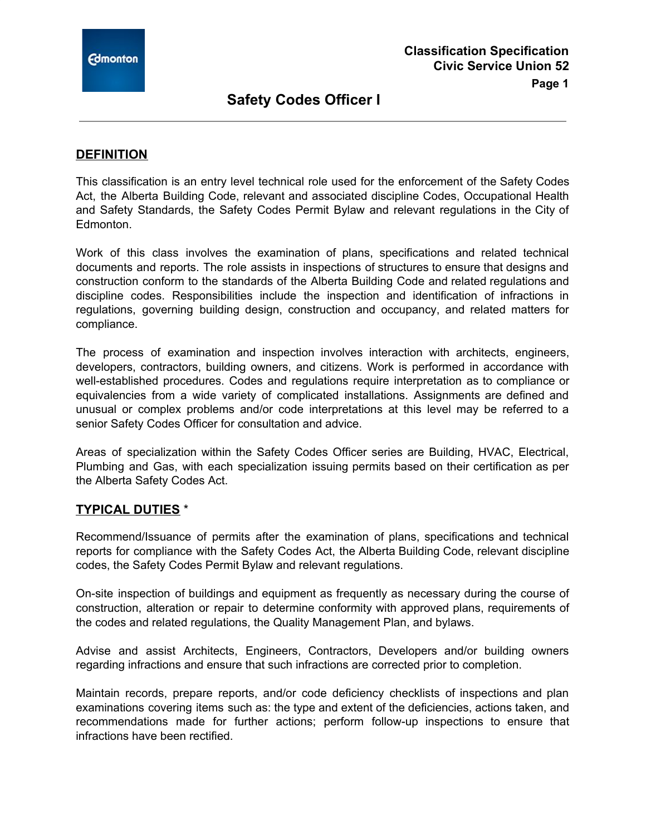

## **DEFINITION**

This classification is an entry level technical role used for the enforcement of the Safety Codes Act, the Alberta Building Code, relevant and associated discipline Codes, Occupational Health and Safety Standards, the Safety Codes Permit Bylaw and relevant regulations in the City of Edmonton.

Work of this class involves the examination of plans, specifications and related technical documents and reports. The role assists in inspections of structures to ensure that designs and construction conform to the standards of the Alberta Building Code and related regulations and discipline codes. Responsibilities include the inspection and identification of infractions in regulations, governing building design, construction and occupancy, and related matters for compliance.

The process of examination and inspection involves interaction with architects, engineers, developers, contractors, building owners, and citizens. Work is performed in accordance with well-established procedures. Codes and regulations require interpretation as to compliance or equivalencies from a wide variety of complicated installations. Assignments are defined and unusual or complex problems and/or code interpretations at this level may be referred to a senior Safety Codes Officer for consultation and advice.

Areas of specialization within the Safety Codes Officer series are Building, HVAC, Electrical, Plumbing and Gas, with each specialization issuing permits based on their certification as per the Alberta Safety Codes Act.

### **TYPICAL DUTIES** \*

Recommend/Issuance of permits after the examination of plans, specifications and technical reports for compliance with the Safety Codes Act, the Alberta Building Code, relevant discipline codes, the Safety Codes Permit Bylaw and relevant regulations.

On-site inspection of buildings and equipment as frequently as necessary during the course of construction, alteration or repair to determine conformity with approved plans, requirements of the codes and related regulations, the Quality Management Plan, and bylaws.

Advise and assist Architects, Engineers, Contractors, Developers and/or building owners regarding infractions and ensure that such infractions are corrected prior to completion.

Maintain records, prepare reports, and/or code deficiency checklists of inspections and plan examinations covering items such as: the type and extent of the deficiencies, actions taken, and recommendations made for further actions; perform follow-up inspections to ensure that infractions have been rectified.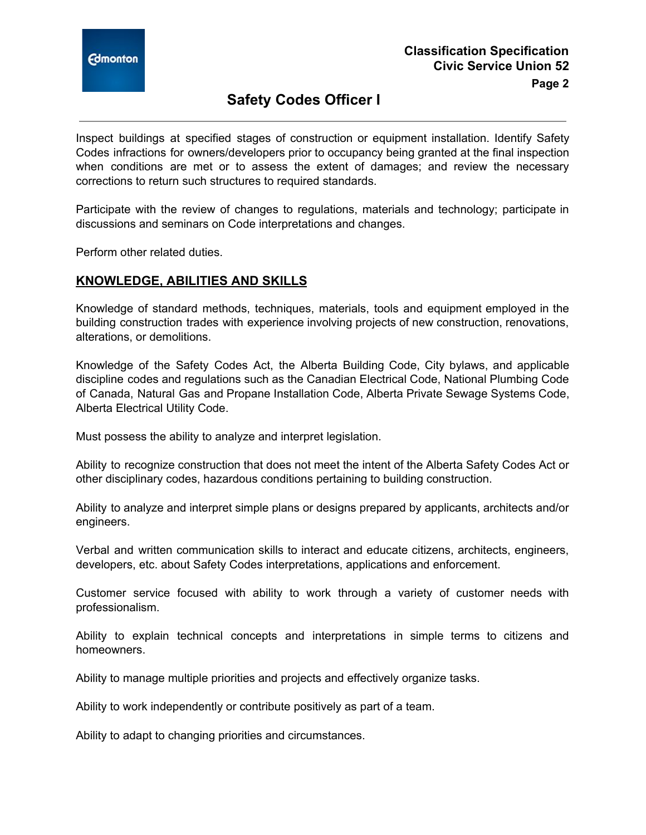

Inspect buildings at specified stages of construction or equipment installation. Identify Safety Codes infractions for owners/developers prior to occupancy being granted at the final inspection when conditions are met or to assess the extent of damages; and review the necessary corrections to return such structures to required standards.

Participate with the review of changes to regulations, materials and technology; participate in discussions and seminars on Code interpretations and changes.

Perform other related duties.

## **KNOWLEDGE, ABILITIES AND SKILLS**

Knowledge of standard methods, techniques, materials, tools and equipment employed in the building construction trades with experience involving projects of new construction, renovations, alterations, or demolitions.

Knowledge of the Safety Codes Act, the Alberta Building Code, City bylaws, and applicable discipline codes and regulations such as the Canadian Electrical Code, National Plumbing Code of Canada, Natural Gas and Propane Installation Code, Alberta Private Sewage Systems Code, Alberta Electrical Utility Code.

Must possess the ability to analyze and interpret legislation.

Ability to recognize construction that does not meet the intent of the Alberta Safety Codes Act or other disciplinary codes, hazardous conditions pertaining to building construction.

Ability to analyze and interpret simple plans or designs prepared by applicants, architects and/or engineers.

Verbal and written communication skills to interact and educate citizens, architects, engineers, developers, etc. about Safety Codes interpretations, applications and enforcement.

Customer service focused with ability to work through a variety of customer needs with professionalism.

Ability to explain technical concepts and interpretations in simple terms to citizens and homeowners.

Ability to manage multiple priorities and projects and effectively organize tasks.

Ability to work independently or contribute positively as part of a team.

Ability to adapt to changing priorities and circumstances.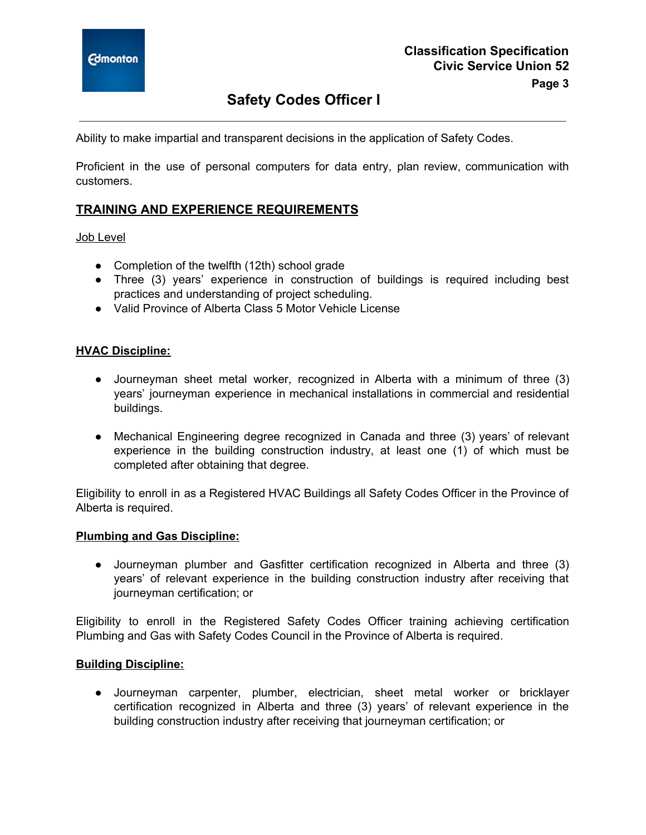

Ability to make impartial and transparent decisions in the application of Safety Codes.

Proficient in the use of personal computers for data entry, plan review, communication with customers.

### **TRAINING AND EXPERIENCE REQUIREMENTS**

Job Level

- Completion of the twelfth (12th) school grade
- Three (3) years' experience in construction of buildings is required including best practices and understanding of project scheduling.
- Valid Province of Alberta Class 5 Motor Vehicle License

#### **HVAC Discipline:**

- Journeyman sheet metal worker, recognized in Alberta with a minimum of three (3) years' journeyman experience in mechanical installations in commercial and residential buildings.
- Mechanical Engineering degree recognized in Canada and three (3) years' of relevant experience in the building construction industry, at least one (1) of which must be completed after obtaining that degree.

Eligibility to enroll in as a Registered HVAC Buildings all Safety Codes Officer in the Province of Alberta is required.

#### **Plumbing and Gas Discipline:**

● Journeyman plumber and Gasfitter certification recognized in Alberta and three (3) years' of relevant experience in the building construction industry after receiving that journeyman certification; or

Eligibility to enroll in the Registered Safety Codes Officer training achieving certification Plumbing and Gas with Safety Codes Council in the Province of Alberta is required.

#### **Building Discipline:**

● Journeyman carpenter, plumber, electrician, sheet metal worker or bricklayer certification recognized in Alberta and three (3) years' of relevant experience in the building construction industry after receiving that journeyman certification; or